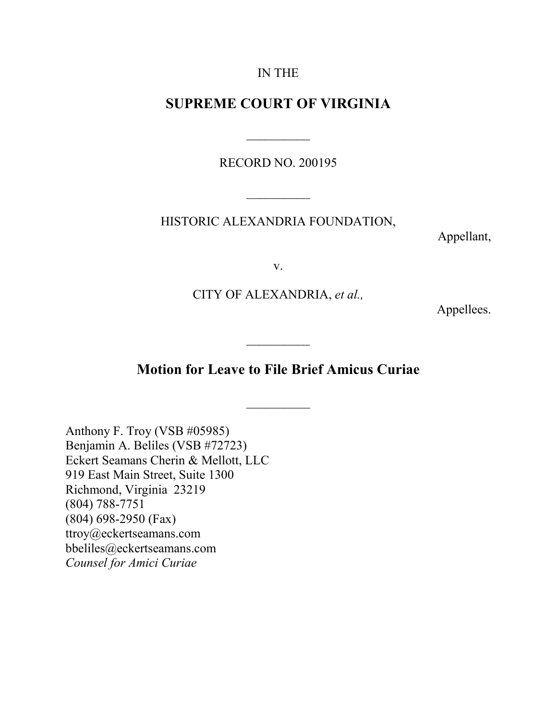#### IN THE

### **SUPREME COURT OF VIRGINIA**

RECORD NO. 200195

 $\overline{\phantom{a}}$ 

 $\frac{1}{2}$ 

HISTORIC ALEXANDRIA FOUNDATION,

Appellant,

v.

CITY OF ALEXANDRIA, *et al.,*

Appellees.

# **Motion for Leave to File Brief Amicus Curiae**

 $\frac{1}{2}$ 

 $\frac{1}{2}$ 

Anthony F. Troy (VSB #05985) Benjamin A. Beliles (VSB #72723) Eckert Seamans Cherin & Mellott, LLC 919 East Main Street, Suite 1300 Richmond, Virginia 23219 (804) 788-7751 (804) 698-2950 (Fax) ttroy@eckertseamans.com bbeliles@eckertseamans.com *Counsel for Amici Curiae*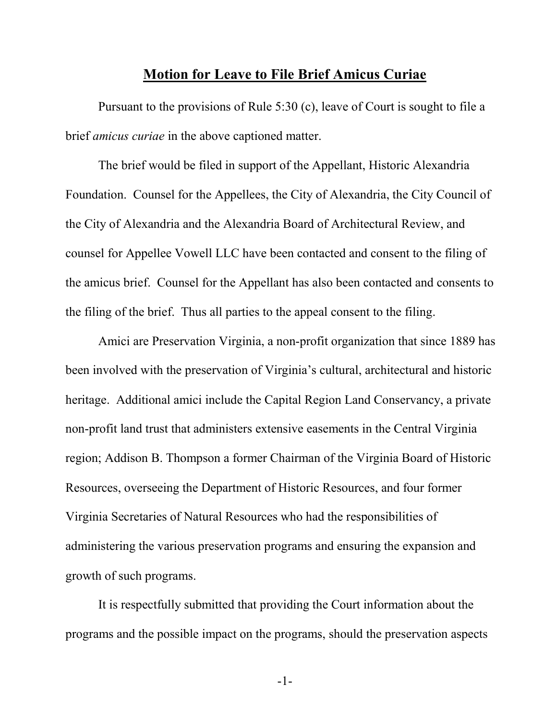### **Motion for Leave to File Brief Amicus Curiae**

Pursuant to the provisions of Rule 5:30 (c), leave of Court is sought to file a brief *amicus curiae* in the above captioned matter.

The brief would be filed in support of the Appellant, Historic Alexandria Foundation. Counsel for the Appellees, the City of Alexandria, the City Council of the City of Alexandria and the Alexandria Board of Architectural Review, and counsel for Appellee Vowell LLC have been contacted and consent to the filing of the amicus brief. Counsel for the Appellant has also been contacted and consents to the filing of the brief. Thus all parties to the appeal consent to the filing.

Amici are Preservation Virginia, a non-profit organization that since 1889 has been involved with the preservation of Virginia's cultural, architectural and historic heritage. Additional amici include the Capital Region Land Conservancy, a private non-profit land trust that administers extensive easements in the Central Virginia region; Addison B. Thompson a former Chairman of the Virginia Board of Historic Resources, overseeing the Department of Historic Resources, and four former Virginia Secretaries of Natural Resources who had the responsibilities of administering the various preservation programs and ensuring the expansion and growth of such programs.

It is respectfully submitted that providing the Court information about the programs and the possible impact on the programs, should the preservation aspects

-1-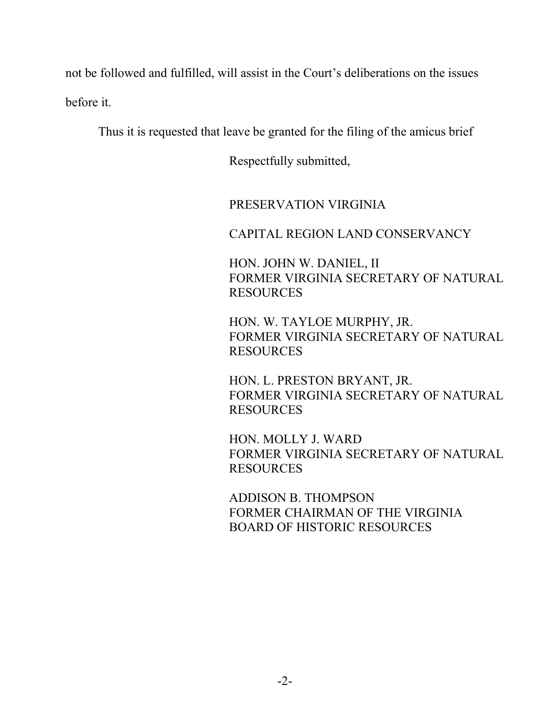not be followed and fulfilled, will assist in the Court's deliberations on the issues before it.

Thus it is requested that leave be granted for the filing of the amicus brief

Respectfully submitted,

## PRESERVATION VIRGINIA

CAPITAL REGION LAND CONSERVANCY

HON. JOHN W. DANIEL, II FORMER VIRGINIA SECRETARY OF NATURAL **RESOURCES** 

HON. W. TAYLOE MURPHY, JR. FORMER VIRGINIA SECRETARY OF NATURAL RESOURCES

HON. L. PRESTON BRYANT, JR. FORMER VIRGINIA SECRETARY OF NATURAL RESOURCES

HON. MOLLY J. WARD FORMER VIRGINIA SECRETARY OF NATURAL RESOURCES

ADDISON B. THOMPSON FORMER CHAIRMAN OF THE VIRGINIA BOARD OF HISTORIC RESOURCES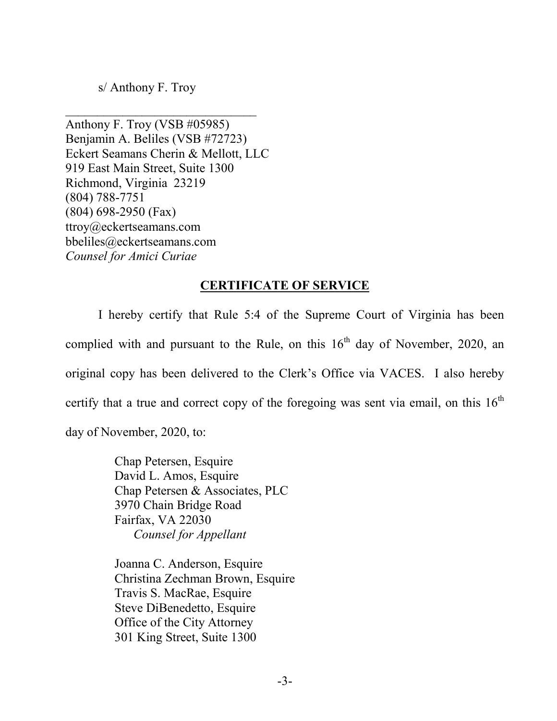s/ Anthony F. Troy

 $\mathcal{L}_\text{max}$  , which is a set of the set of the set of the set of the set of the set of the set of the set of the set of the set of the set of the set of the set of the set of the set of the set of the set of the set of

Anthony F. Troy (VSB #05985) Benjamin A. Beliles (VSB #72723) Eckert Seamans Cherin & Mellott, LLC 919 East Main Street, Suite 1300 Richmond, Virginia 23219 (804) 788-7751 (804) 698-2950 (Fax) ttroy@eckertseamans.com bbeliles@eckertseamans.com *Counsel for Amici Curiae*

### **CERTIFICATE OF SERVICE**

I hereby certify that Rule 5:4 of the Supreme Court of Virginia has been complied with and pursuant to the Rule, on this  $16<sup>th</sup>$  day of November, 2020, an original copy has been delivered to the Clerk's Office via VACES. I also hereby certify that a true and correct copy of the foregoing was sent via email, on this  $16<sup>th</sup>$ day of November, 2020, to:

> Chap Petersen, Esquire David L. Amos, Esquire Chap Petersen & Associates, PLC 3970 Chain Bridge Road Fairfax, VA 22030  *Counsel for Appellant*

Joanna C. Anderson, Esquire Christina Zechman Brown, Esquire Travis S. MacRae, Esquire Steve DiBenedetto, Esquire Office of the City Attorney 301 King Street, Suite 1300